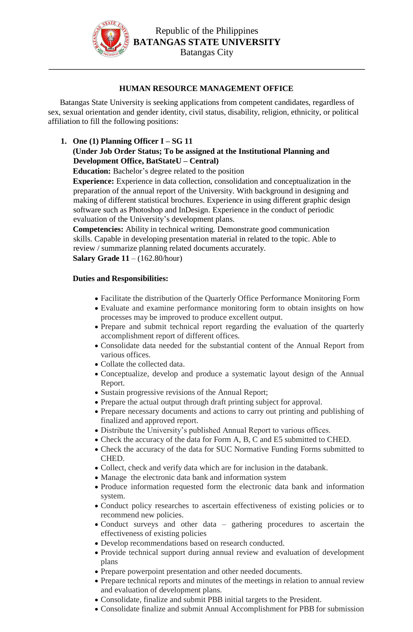

## **HUMAN RESOURCE MANAGEMENT OFFICE**

Batangas State University is seeking applications from competent candidates, regardless of sex, sexual orientation and gender identity, civil status, disability, religion, ethnicity, or political affiliation to fill the following positions:

## **1. One (1) Planning Officer I – SG 11 (Under Job Order Status; To be assigned at the Institutional Planning and Development Office, BatStateU – Central)**

**Education:** Bachelor's degree related to the position

**Experience:** Experience in data collection, consolidation and conceptualization in the preparation of the annual report of the University. With background in designing and making of different statistical brochures. Experience in using different graphic design software such as Photoshop and InDesign. Experience in the conduct of periodic evaluation of the University's development plans.

**Competencies:** Ability in technical writing. Demonstrate good communication skills. Capable in developing presentation material in related to the topic. Able to review / summarize planning related documents accurately. **Salary Grade 11** – (162.80/hour)

## **Duties and Responsibilities:**

- Facilitate the distribution of the Quarterly Office Performance Monitoring Form
- Evaluate and examine performance monitoring form to obtain insights on how processes may be improved to produce excellent output.
- Prepare and submit technical report regarding the evaluation of the quarterly accomplishment report of different offices.
- Consolidate data needed for the substantial content of the Annual Report from various offices.
- Collate the collected data.
- Conceptualize, develop and produce a systematic layout design of the Annual Report.
- Sustain progressive revisions of the Annual Report;
- Prepare the actual output through draft printing subject for approval.
- Prepare necessary documents and actions to carry out printing and publishing of finalized and approved report.
- Distribute the University's published Annual Report to various offices.
- Check the accuracy of the data for Form A, B, C and E5 submitted to CHED.
- Check the accuracy of the data for SUC Normative Funding Forms submitted to CHED.
- Collect, check and verify data which are for inclusion in the databank.
- Manage the electronic data bank and information system
- Produce information requested form the electronic data bank and information system.
- Conduct policy researches to ascertain effectiveness of existing policies or to recommend new policies.
- Conduct surveys and other data gathering procedures to ascertain the effectiveness of existing policies
- Develop recommendations based on research conducted.
- Provide technical support during annual review and evaluation of development plans
- Prepare powerpoint presentation and other needed documents.
- Prepare technical reports and minutes of the meetings in relation to annual review and evaluation of development plans.
- Consolidate, finalize and submit PBB initial targets to the President.
- Consolidate finalize and submit Annual Accomplishment for PBB for submission